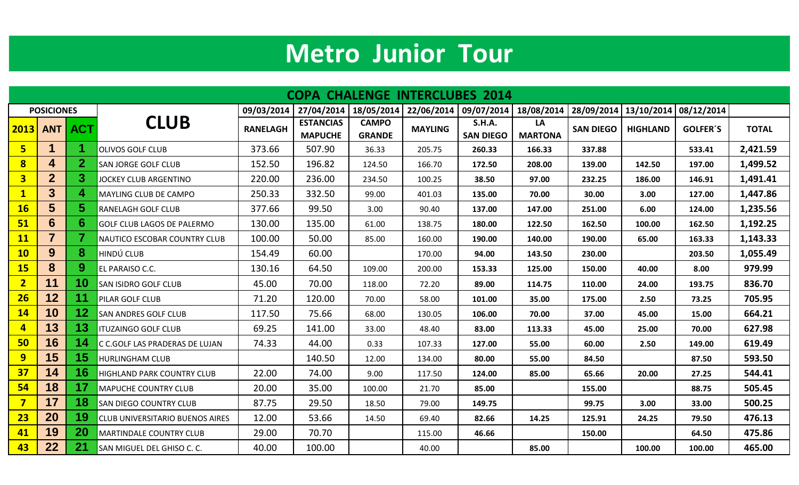## **Metro Junior Tour**

| <b>COPA CHALENGE INTERCLUBES 2014</b> |                   |                 |                                        |                 |                                    |                               |                |                                   |                      |                  |                         |                 |              |
|---------------------------------------|-------------------|-----------------|----------------------------------------|-----------------|------------------------------------|-------------------------------|----------------|-----------------------------------|----------------------|------------------|-------------------------|-----------------|--------------|
|                                       | <b>POSICIONES</b> |                 | <b>CLUB</b>                            | 09/03/2014      | 27/04/2014                         | 18/05/2014                    |                | 22/06/2014 09/07/2014 18/08/2014  |                      |                  | 28/09/2014   13/10/2014 | 08/12/2014      |              |
| 2013                                  | <b>ANT</b>        | <b>ACT</b>      |                                        | <b>RANELAGH</b> | <b>ESTANCIAS</b><br><b>MAPUCHE</b> | <b>CAMPO</b><br><b>GRANDE</b> | <b>MAYLING</b> | <b>S.H.A.</b><br><b>SAN DIEGO</b> | LA<br><b>MARTONA</b> | <b>SAN DIEGO</b> | <b>HIGHLAND</b>         | <b>GOLFER'S</b> | <b>TOTAL</b> |
| $5\overline{ }$                       | 1                 |                 | <b>OLIVOS GOLF CLUB</b>                | 373.66          | 507.90                             | 36.33                         | 205.75         | 260.33                            | 166.33               | 337.88           |                         | 533.41          | 2,421.59     |
| 8                                     | 4                 | $\mathbf{2}$    | <b>SAN JORGE GOLF CLUB</b>             | 152.50          | 196.82                             | 124.50                        | 166.70         | 172.50                            | 208.00               | 139.00           | 142.50                  | 197.00          | 1,499.52     |
| $\overline{\mathbf{3}}$               | 2 <sup>1</sup>    | 3.              | <b>JOCKEY CLUB ARGENTINO</b>           | 220.00          | 236.00                             | 234.50                        | 100.25         | 38.50                             | 97.00                | 232.25           | 186.00                  | 146.91          | 1,491.41     |
| $\mathbf{1}$                          | 3 <sup>5</sup>    | 4               | <b>MAYLING CLUB DE CAMPO</b>           | 250.33          | 332.50                             | 99.00                         | 401.03         | 135.00                            | 70.00                | 30.00            | 3.00                    | 127.00          | 1,447.86     |
| <b>16</b>                             | 5 <sup>5</sup>    | 5.              | <b>RANELAGH GOLF CLUB</b>              | 377.66          | 99.50                              | 3.00                          | 90.40          | 137.00                            | 147.00               | 251.00           | 6.00                    | 124.00          | 1,235.56     |
| 51                                    | 6                 | 6               | <b>GOLF CLUB LAGOS DE PALERMO</b>      | 130.00          | 135.00                             | 61.00                         | 138.75         | 180.00                            | 122.50               | 162.50           | 100.00                  | 162.50          | 1,192.25     |
| <b>11</b>                             | $\overline{7}$    |                 | NAUTICO ESCOBAR COUNTRY CLUB           | 100.00          | 50.00                              | 85.00                         | 160.00         | 190.00                            | 140.00               | 190.00           | 65.00                   | 163.33          | 1,143.33     |
| <b>10</b>                             | $9\phantom{.}$    | 8               | <b>HINDÚ CLUB</b>                      | 154.49          | 60.00                              |                               | 170.00         | 94.00                             | 143.50               | 230.00           |                         | 203.50          | 1,055.49     |
| <b>15</b>                             | 8                 | 9               | EL PARAISO C.C.                        | 130.16          | 64.50                              | 109.00                        | 200.00         | 153.33                            | 125.00               | 150.00           | 40.00                   | 8.00            | 979.99       |
| $\overline{2}$                        | 11                | 10              | <b>SAN ISIDRO GOLF CLUB</b>            | 45.00           | 70.00                              | 118.00                        | 72.20          | 89.00                             | 114.75               | 110.00           | 24.00                   | 193.75          | 836.70       |
| 26                                    | 12                | 11              | <b>PILAR GOLF CLUB</b>                 | 71.20           | 120.00                             | 70.00                         | 58.00          | 101.00                            | 35.00                | 175.00           | 2.50                    | 73.25           | 705.95       |
| <b>14</b>                             | 10                | 12 <sub>2</sub> | <b>SAN ANDRES GOLF CLUB</b>            | 117.50          | 75.66                              | 68.00                         | 130.05         | 106.00                            | 70.00                | 37.00            | 45.00                   | 15.00           | 664.21       |
| $\overline{\mathbf{4}}$               | 13                | 13 <sub>1</sub> | <b>ITUZAINGO GOLF CLUB</b>             | 69.25           | 141.00                             | 33.00                         | 48.40          | 83.00                             | 113.33               | 45.00            | 25.00                   | 70.00           | 627.98       |
| 50                                    | 16                | 14              | C C.GOLF LAS PRADERAS DE LUJAN         | 74.33           | 44.00                              | 0.33                          | 107.33         | 127.00                            | 55.00                | 60.00            | 2.50                    | 149.00          | 619.49       |
| 9                                     | 15                | 15              | <b>HURLINGHAM CLUB</b>                 |                 | 140.50                             | 12.00                         | 134.00         | 80.00                             | 55.00                | 84.50            |                         | 87.50           | 593.50       |
| 37                                    | 14                | 16              | <b>HIGHLAND PARK COUNTRY CLUB</b>      | 22.00           | 74.00                              | 9.00                          | 117.50         | 124.00                            | 85.00                | 65.66            | 20.00                   | 27.25           | 544.41       |
| 54                                    | 18                | 17              | <b>MAPUCHE COUNTRY CLUB</b>            | 20.00           | 35.00                              | 100.00                        | 21.70          | 85.00                             |                      | 155.00           |                         | 88.75           | 505.45       |
| $\overline{\mathbf{z}}$               | 17                | 18              | <b>SAN DIEGO COUNTRY CLUB</b>          | 87.75           | 29.50                              | 18.50                         | 79.00          | 149.75                            |                      | 99.75            | 3.00                    | 33.00           | 500.25       |
| 23                                    | 20                | 19              | <b>CLUB UNIVERSITARIO BUENOS AIRES</b> | 12.00           | 53.66                              | 14.50                         | 69.40          | 82.66                             | 14.25                | 125.91           | 24.25                   | 79.50           | 476.13       |
| 41                                    | 19                | 20              | <b>MARTINDALE COUNTRY CLUB</b>         | 29.00           | 70.70                              |                               | 115.00         | 46.66                             |                      | 150.00           |                         | 64.50           | 475.86       |
| 43                                    | 22                | 21              | SAN MIGUEL DEL GHISO C. C.             | 40.00           | 100.00                             |                               | 40.00          |                                   | 85.00                |                  | 100.00                  | 100.00          | 465.00       |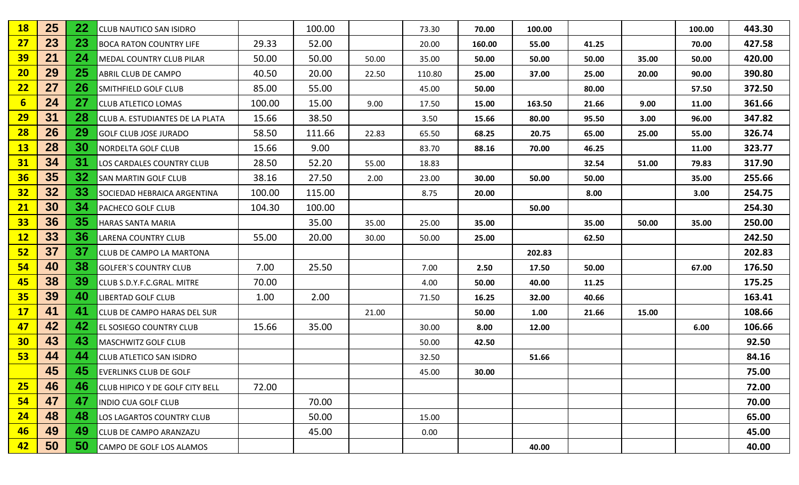| <b>18</b>       | 25 | 22        | <b>CLUB NAUTICO SAN ISIDRO</b>         |        | 100.00 |       | 73.30  | 70.00  | 100.00 |       |       | 100.00 | 443.30 |
|-----------------|----|-----------|----------------------------------------|--------|--------|-------|--------|--------|--------|-------|-------|--------|--------|
| 27              | 23 | 23        | <b>BOCA RATON COUNTRY LIFE</b>         | 29.33  | 52.00  |       | 20.00  | 160.00 | 55.00  | 41.25 |       | 70.00  | 427.58 |
| <b>39</b>       | 21 | 24        | MEDAL COUNTRY CLUB PILAR               | 50.00  | 50.00  | 50.00 | 35.00  | 50.00  | 50.00  | 50.00 | 35.00 | 50.00  | 420.00 |
| 20              | 29 | <b>25</b> | ABRIL CLUB DE CAMPO                    | 40.50  | 20.00  | 22.50 | 110.80 | 25.00  | 37.00  | 25.00 | 20.00 | 90.00  | 390.80 |
| 22              | 27 | 26        | <b>SMITHFIELD GOLF CLUB</b>            | 85.00  | 55.00  |       | 45.00  | 50.00  |        | 80.00 |       | 57.50  | 372.50 |
| $6\phantom{1}6$ | 24 | 27        | <b>CLUB ATLETICO LOMAS</b>             | 100.00 | 15.00  | 9.00  | 17.50  | 15.00  | 163.50 | 21.66 | 9.00  | 11.00  | 361.66 |
| <b>29</b>       | 31 | 28        | CLUB A. ESTUDIANTES DE LA PLATA        | 15.66  | 38.50  |       | 3.50   | 15.66  | 80.00  | 95.50 | 3.00  | 96.00  | 347.82 |
| <b>28</b>       | 26 | 29        | <b>GOLF CLUB JOSE JURADO</b>           | 58.50  | 111.66 | 22.83 | 65.50  | 68.25  | 20.75  | 65.00 | 25.00 | 55.00  | 326.74 |
| <b>13</b>       | 28 | 30        | NORDELTA GOLF CLUB                     | 15.66  | 9.00   |       | 83.70  | 88.16  | 70.00  | 46.25 |       | 11.00  | 323.77 |
| 31              | 34 | 31        | LOS CARDALES COUNTRY CLUB              | 28.50  | 52.20  | 55.00 | 18.83  |        |        | 32.54 | 51.00 | 79.83  | 317.90 |
| 36              | 35 | 32        | <b>SAN MARTIN GOLF CLUB</b>            | 38.16  | 27.50  | 2.00  | 23.00  | 30.00  | 50.00  | 50.00 |       | 35.00  | 255.66 |
| 32              | 32 | 33        | SOCIEDAD HEBRAICA ARGENTINA            | 100.00 | 115.00 |       | 8.75   | 20.00  |        | 8.00  |       | 3.00   | 254.75 |
| 21              | 30 | 34        | PACHECO GOLF CLUB                      | 104.30 | 100.00 |       |        |        | 50.00  |       |       |        | 254.30 |
| 33              | 36 | 35        | HARAS SANTA MARIA                      |        | 35.00  | 35.00 | 25.00  | 35.00  |        | 35.00 | 50.00 | 35.00  | 250.00 |
| 12              | 33 | 36        | <b>LARENA COUNTRY CLUB</b>             | 55.00  | 20.00  | 30.00 | 50.00  | 25.00  |        | 62.50 |       |        | 242.50 |
| 52              | 37 | 37        | CLUB DE CAMPO LA MARTONA               |        |        |       |        |        | 202.83 |       |       |        | 202.83 |
| 54              | 40 | 38        | <b>GOLFER'S COUNTRY CLUB</b>           | 7.00   | 25.50  |       | 7.00   | 2.50   | 17.50  | 50.00 |       | 67.00  | 176.50 |
| 45              | 38 | 39        | CLUB S.D.Y.F.C.GRAL. MITRE             | 70.00  |        |       | 4.00   | 50.00  | 40.00  | 11.25 |       |        | 175.25 |
| <b>35</b>       | 39 | 40        | <b>LIBERTAD GOLF CLUB</b>              | 1.00   | 2.00   |       | 71.50  | 16.25  | 32.00  | 40.66 |       |        | 163.41 |
| 17              | 41 | 41        | CLUB DE CAMPO HARAS DEL SUR            |        |        | 21.00 |        | 50.00  | 1.00   | 21.66 | 15.00 |        | 108.66 |
| 47              | 42 | 42        | EL SOSIEGO COUNTRY CLUB                | 15.66  | 35.00  |       | 30.00  | 8.00   | 12.00  |       |       | 6.00   | 106.66 |
| 30              | 43 | 43        | <b>MASCHWITZ GOLF CLUB</b>             |        |        |       | 50.00  | 42.50  |        |       |       |        | 92.50  |
| 53              | 44 | 44        | <b>CLUB ATLETICO SAN ISIDRO</b>        |        |        |       | 32.50  |        | 51.66  |       |       |        | 84.16  |
|                 | 45 | 45        | <b>EVERLINKS CLUB DE GOLF</b>          |        |        |       | 45.00  | 30.00  |        |       |       |        | 75.00  |
| 25              | 46 | 46        | <b>CLUB HIPICO Y DE GOLF CITY BELL</b> | 72.00  |        |       |        |        |        |       |       |        | 72.00  |
| 54              | 47 | 47        | INDIO CUA GOLF CLUB                    |        | 70.00  |       |        |        |        |       |       |        | 70.00  |
| 24              | 48 | 48        | LOS LAGARTOS COUNTRY CLUB              |        | 50.00  |       | 15.00  |        |        |       |       |        | 65.00  |
| 46              | 49 | 49        | <b>CLUB DE CAMPO ARANZAZU</b>          |        | 45.00  |       | 0.00   |        |        |       |       |        | 45.00  |
| 42              | 50 | 50        | CAMPO DE GOLF LOS ALAMOS               |        |        |       |        |        | 40.00  |       |       |        | 40.00  |